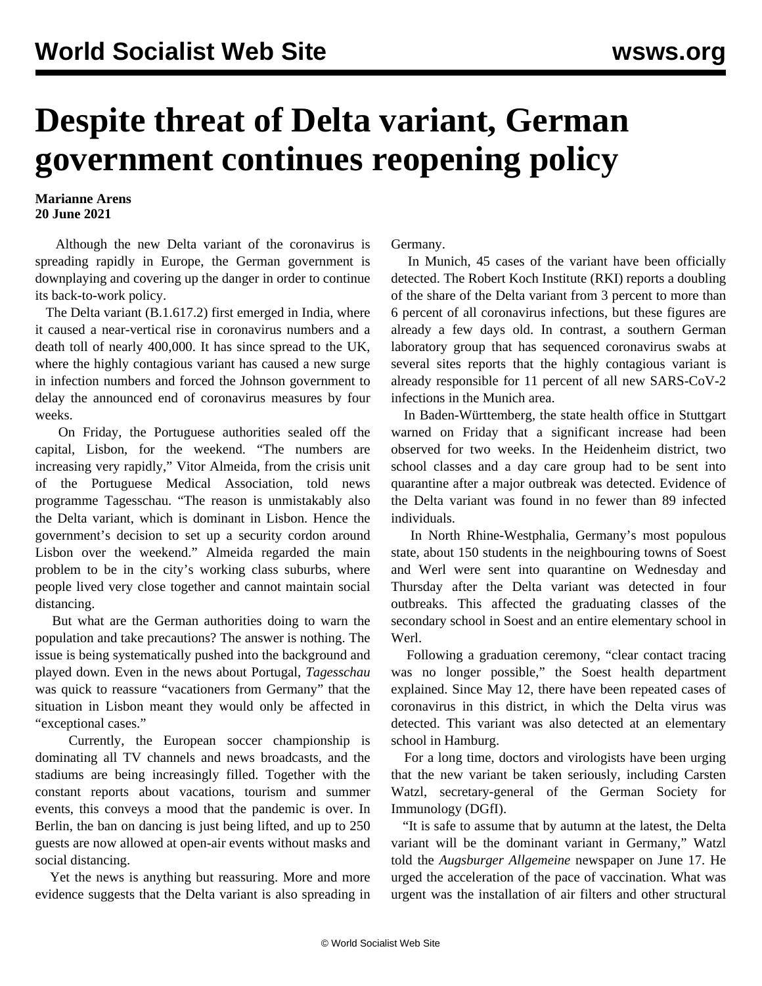## **Despite threat of Delta variant, German government continues reopening policy**

## **Marianne Arens 20 June 2021**

 Although the new Delta variant of the coronavirus is spreading rapidly in Europe, the German government is downplaying and covering up the danger in order to continue its back-to-work policy.

 The Delta variant (B.1.617.2) first emerged in India, where it caused a near-vertical rise in coronavirus numbers and a death toll of nearly 400,000. It has since spread to the UK, where the highly contagious variant has caused a new surge in infection numbers and forced the Johnson government to delay the announced end of coronavirus measures by four weeks.

 On Friday, the Portuguese authorities sealed off the capital, Lisbon, for the weekend. "The numbers are increasing very rapidly," Vitor Almeida, from the crisis unit of the Portuguese Medical Association, told news programme Tagesschau. "The reason is unmistakably also the Delta variant, which is dominant in Lisbon. Hence the government's decision to set up a security cordon around Lisbon over the weekend." Almeida regarded the main problem to be in the city's working class suburbs, where people lived very close together and cannot maintain social distancing.

 But what are the German authorities doing to warn the population and take precautions? The answer is nothing. The issue is being systematically pushed into the background and played down. Even in the news about Portugal, *Tagesschau* was quick to reassure "vacationers from Germany" that the situation in Lisbon meant they would only be affected in "exceptional cases."

 Currently, the European soccer championship is dominating all TV channels and news broadcasts, and the stadiums are being increasingly filled. Together with the constant reports about vacations, tourism and summer events, this conveys a mood that the pandemic is over. In Berlin, the ban on dancing is just being lifted, and up to 250 guests are now allowed at open-air events without masks and social distancing.

 Yet the news is anything but reassuring. More and more evidence suggests that the Delta variant is also spreading in

Germany.

 In Munich, 45 cases of the variant have been officially detected. The Robert Koch Institute (RKI) reports a doubling of the share of the Delta variant from 3 percent to more than 6 percent of all coronavirus infections, but these figures are already a few days old. In contrast, a southern German laboratory group that has sequenced coronavirus swabs at several sites reports that the highly contagious variant is already responsible for 11 percent of all new SARS-CoV-2 infections in the Munich area.

 In Baden-Württemberg, the state health office in Stuttgart warned on Friday that a significant increase had been observed for two weeks. In the Heidenheim district, two school classes and a day care group had to be sent into quarantine after a major outbreak was detected. Evidence of the Delta variant was found in no fewer than 89 infected individuals.

 In North Rhine-Westphalia, Germany's most populous state, about 150 students in the neighbouring towns of Soest and Werl were sent into quarantine on Wednesday and Thursday after the Delta variant was detected in four outbreaks. This affected the graduating classes of the secondary school in Soest and an entire elementary school in Werl.

 Following a graduation ceremony, "clear contact tracing was no longer possible," the Soest health department explained. Since May 12, there have been repeated cases of coronavirus in this district, in which the Delta virus was detected. This variant was also detected at an elementary school in Hamburg.

 For a long time, doctors and virologists have been urging that the new variant be taken seriously, including Carsten Watzl, secretary-general of the German Society for Immunology (DGfI).

 "It is safe to assume that by autumn at the latest, the Delta variant will be the dominant variant in Germany," Watzl told the *Augsburger Allgemeine* newspaper on June 17. He urged the acceleration of the pace of vaccination. What was urgent was the installation of air filters and other structural